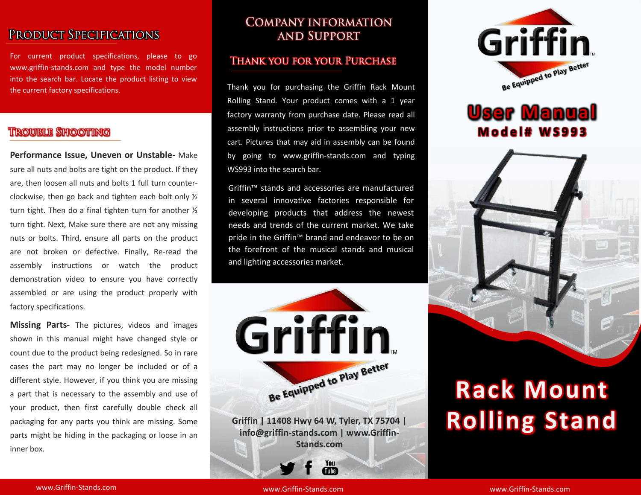## PRODUCT SPECIFICATIONS

For current product specifications, please to go www.griffin-stands.com and type the model number into the search bar. Locate the product listing to view the current factory specifications.

### **TROUBLE SHOOTING**

**Performance Issue, Uneven or Unstable-** Make sure all nuts and bolts are tight on the product. If they are, then loosen all nuts and bolts 1 full turn counterclockwise, then go back and tighten each bolt only ½ turn tight. Then do a final tighten turn for another ½ turn tight. Next, Make sure there are not any missing nuts or bolts. Third, ensure all parts on the product are not broken or defective. Finally, Re-read the assembly instructions or watch the product demonstration video to ensure you have correctly assembled or are using the product properly with factory specifications.

**Missing Parts-** The pictures, videos and images shown in this manual might have changed style or count due to the product being redesigned. So in rare cases the part may no longer be included or of a different style. However, if you think you are missing a part that is necessary to the assembly and use of your product, then first carefully double check all packaging for any parts you think are missing. Some parts might be hiding in the packaging or loose in an inner box.

## **COMPANY INFORMATION AND SUPPORT**

#### **THANK YOU FOR YOUR PURCHASE**

Thank you for purchasing the Griffin Rack Mount Rolling Stand. Your product comes with a 1 year factory warranty from purchase date. Please read all assembly instructions prior to assembling your new cart. Pictures that may aid in assembly can be found by going to www.griffin-stands.com and typing WS993 into the search bar.

Griffin™ stands and accessories are manufactured in several innovative factories responsible for developing products that address the newest needs and trends of the current market. We take pride in the Griffin<sup>™</sup> brand and endeavor to be on the forefront of the musical stands and musical and lighting accessories market.



**Griffin | 11408 Hwy 64 W, Tyler, TX 75704 | info@griffin-stands.com | www.Griffin-Stands.com**

> You Tube<sup>7</sup>



# **User Manual M o d e l # W S 9 9 3**



# **Rack Mount Rolling Stand**